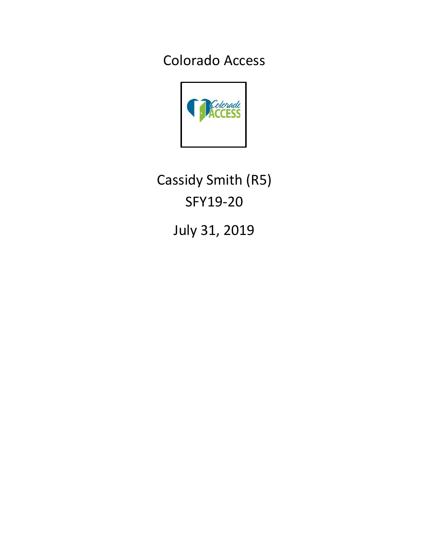Colorado Access



Cassidy Smith (R5) SFY19-20

July 31, 2019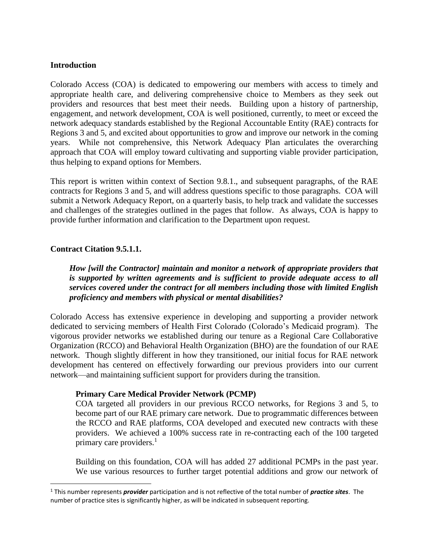### **Introduction**

Colorado Access (COA) is dedicated to empowering our members with access to timely and appropriate health care, and delivering comprehensive choice to Members as they seek out providers and resources that best meet their needs. Building upon a history of partnership, engagement, and network development, COA is well positioned, currently, to meet or exceed the network adequacy standards established by the Regional Accountable Entity (RAE) contracts for Regions 3 and 5, and excited about opportunities to grow and improve our network in the coming years. While not comprehensive, this Network Adequacy Plan articulates the overarching approach that COA will employ toward cultivating and supporting viable provider participation, thus helping to expand options for Members.

This report is written within context of Section 9.8.1., and subsequent paragraphs, of the RAE contracts for Regions 3 and 5, and will address questions specific to those paragraphs. COA will submit a Network Adequacy Report, on a quarterly basis, to help track and validate the successes and challenges of the strategies outlined in the pages that follow. As always, COA is happy to provide further information and clarification to the Department upon request.

### **Contract Citation 9.5.1.1.**

 $\overline{\phantom{a}}$ 

*How [will the Contractor] maintain and monitor a network of appropriate providers that is supported by written agreements and is sufficient to provide adequate access to all services covered under the contract for all members including those with limited English proficiency and members with physical or mental disabilities?*

Colorado Access has extensive experience in developing and supporting a provider network dedicated to servicing members of Health First Colorado (Colorado's Medicaid program). The vigorous provider networks we established during our tenure as a Regional Care Collaborative Organization (RCCO) and Behavioral Health Organization (BHO) are the foundation of our RAE network. Though slightly different in how they transitioned, our initial focus for RAE network development has centered on effectively forwarding our previous providers into our current network—and maintaining sufficient support for providers during the transition.

#### **Primary Care Medical Provider Network (PCMP)**

COA targeted all providers in our previous RCCO networks, for Regions 3 and 5, to become part of our RAE primary care network. Due to programmatic differences between the RCCO and RAE platforms, COA developed and executed new contracts with these providers. We achieved a 100% success rate in re-contracting each of the 100 targeted primary care providers.<sup>1</sup>

Building on this foundation, COA will has added 27 additional PCMPs in the past year. We use various resources to further target potential additions and grow our network of

<sup>1</sup> This number represents *provider* participation and is not reflective of the total number of *practice sites*. The number of practice sites is significantly higher, as will be indicated in subsequent reporting.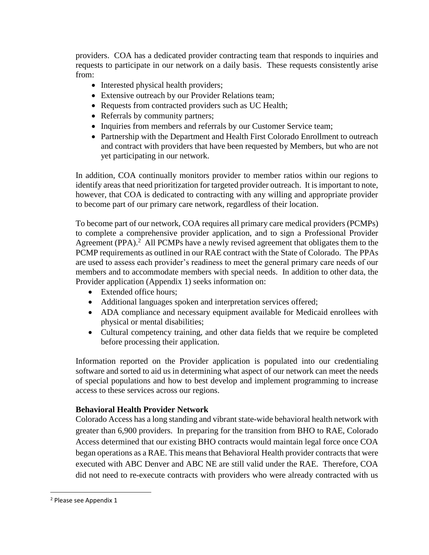providers. COA has a dedicated provider contracting team that responds to inquiries and requests to participate in our network on a daily basis. These requests consistently arise from:

- Interested physical health providers;
- Extensive outreach by our Provider Relations team;
- Requests from contracted providers such as UC Health;
- Referrals by community partners;
- Inquiries from members and referrals by our Customer Service team;
- Partnership with the Department and Health First Colorado Enrollment to outreach and contract with providers that have been requested by Members, but who are not yet participating in our network.

In addition, COA continually monitors provider to member ratios within our regions to identify areas that need prioritization for targeted provider outreach. It is important to note, however, that COA is dedicated to contracting with any willing and appropriate provider to become part of our primary care network, regardless of their location.

To become part of our network, COA requires all primary care medical providers (PCMPs) to complete a comprehensive provider application, and to sign a Professional Provider Agreement (PPA).<sup>2</sup> All PCMPs have a newly revised agreement that obligates them to the PCMP requirements as outlined in our RAE contract with the State of Colorado. The PPAs are used to assess each provider's readiness to meet the general primary care needs of our members and to accommodate members with special needs. In addition to other data, the Provider application (Appendix 1) seeks information on:

- Extended office hours;
- Additional languages spoken and interpretation services offered;
- ADA compliance and necessary equipment available for Medicaid enrollees with physical or mental disabilities;
- Cultural competency training, and other data fields that we require be completed before processing their application.

Information reported on the Provider application is populated into our credentialing software and sorted to aid us in determining what aspect of our network can meet the needs of special populations and how to best develop and implement programming to increase access to these services across our regions.

## **Behavioral Health Provider Network**

Colorado Access has a long standing and vibrant state-wide behavioral health network with greater than 6,900 providers. In preparing for the transition from BHO to RAE, Colorado Access determined that our existing BHO contracts would maintain legal force once COA began operations as a RAE. This means that Behavioral Health provider contracts that were executed with ABC Denver and ABC NE are still valid under the RAE. Therefore, COA did not need to re-execute contracts with providers who were already contracted with us

 $\overline{\phantom{a}}$ 

<sup>2</sup> Please see Appendix 1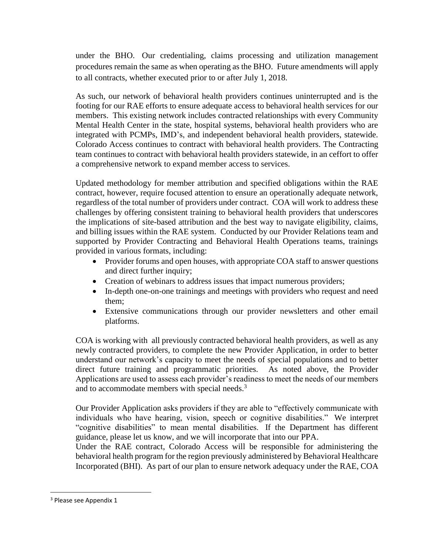under the BHO. Our credentialing, claims processing and utilization management procedures remain the same as when operating as the BHO. Future amendments will apply to all contracts, whether executed prior to or after July 1, 2018.

As such, our network of behavioral health providers continues uninterrupted and is the footing for our RAE efforts to ensure adequate access to behavioral health services for our members. This existing network includes contracted relationships with every Community Mental Health Center in the state, hospital systems, behavioral health providers who are integrated with PCMPs, IMD's, and independent behavioral health providers, statewide. Colorado Access continues to contract with behavioral health providers. The Contracting team continues to contract with behavioral health providers statewide, in an ceffort to offer a comprehensive network to expand member access to services.

Updated methodology for member attribution and specified obligations within the RAE contract, however, require focused attention to ensure an operationally adequate network, regardless of the total number of providers under contract. COA will work to address these challenges by offering consistent training to behavioral health providers that underscores the implications of site-based attribution and the best way to navigate eligibility, claims, and billing issues within the RAE system. Conducted by our Provider Relations team and supported by Provider Contracting and Behavioral Health Operations teams, trainings provided in various formats, including:

- Provider forums and open houses, with appropriate COA staff to answer questions and direct further inquiry;
- Creation of webinars to address issues that impact numerous providers;
- In-depth one-on-one trainings and meetings with providers who request and need them;
- Extensive communications through our provider newsletters and other email platforms.

COA is working with all previously contracted behavioral health providers, as well as any newly contracted providers, to complete the new Provider Application, in order to better understand our network's capacity to meet the needs of special populations and to better direct future training and programmatic priorities. As noted above, the Provider Applications are used to assess each provider's readiness to meet the needs of our members and to accommodate members with special needs.<sup>3</sup>

Our Provider Application asks providers if they are able to "effectively communicate with individuals who have hearing, vision, speech or cognitive disabilities." We interpret "cognitive disabilities" to mean mental disabilities. If the Department has different guidance, please let us know, and we will incorporate that into our PPA.

Under the RAE contract, Colorado Access will be responsible for administering the behavioral health program for the region previously administered by Behavioral Healthcare Incorporated (BHI). As part of our plan to ensure network adequacy under the RAE, COA

 $\overline{\phantom{a}}$ 

<sup>&</sup>lt;sup>3</sup> Please see Appendix 1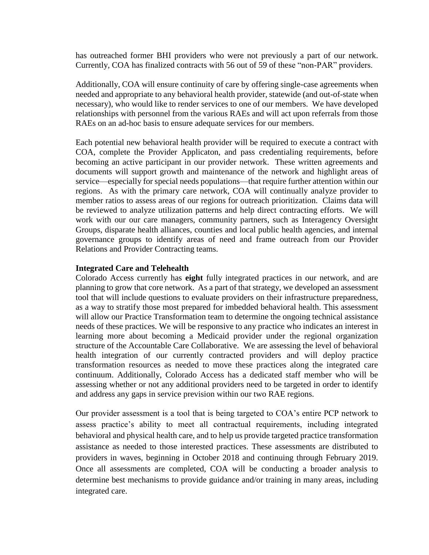has outreached former BHI providers who were not previously a part of our network. Currently, COA has finalized contracts with 56 out of 59 of these "non-PAR" providers.

Additionally, COA will ensure continuity of care by offering single-case agreements when needed and appropriate to any behavioral health provider, statewide (and out-of-state when necessary), who would like to render services to one of our members. We have developed relationships with personnel from the various RAEs and will act upon referrals from those RAEs on an ad-hoc basis to ensure adequate services for our members.

Each potential new behavioral health provider will be required to execute a contract with COA, complete the Provider Applicaton, and pass credentialing requirements, before becoming an active participant in our provider network. These written agreements and documents will support growth and maintenance of the network and highlight areas of service—especially for special needs populations—that require further attention within our regions. As with the primary care network, COA will continually analyze provider to member ratios to assess areas of our regions for outreach prioritization. Claims data will be reviewed to analyze utilization patterns and help direct contracting efforts. We will work with our our care managers, community partners, such as Interagency Oversight Groups, disparate health alliances, counties and local public health agencies, and internal governance groups to identify areas of need and frame outreach from our Provider Relations and Provider Contracting teams.

#### **Integrated Care and Telehealth**

Colorado Access currently has **eight** fully integrated practices in our network, and are planning to grow that core network. As a part of that strategy, we developed an assessment tool that will include questions to evaluate providers on their infrastructure preparedness, as a way to stratify those most prepared for imbedded behavioral health. This assessment will allow our Practice Transformation team to determine the ongoing technical assistance needs of these practices. We will be responsive to any practice who indicates an interest in learning more about becoming a Medicaid provider under the regional organization structure of the Accountable Care Collaborative. We are assessing the level of behavioral health integration of our currently contracted providers and will deploy practice transformation resources as needed to move these practices along the integrated care continuum. Additionally, Colorado Access has a dedicated staff member who will be assessing whether or not any additional providers need to be targeted in order to identify and address any gaps in service prevision within our two RAE regions.

Our provider assessment is a tool that is being targeted to COA's entire PCP network to assess practice's ability to meet all contractual requirements, including integrated behavioral and physical health care, and to help us provide targeted practice transformation assistance as needed to those interested practices. These assessments are distributed to providers in waves, beginning in October 2018 and continuing through February 2019. Once all assessments are completed, COA will be conducting a broader analysis to determine best mechanisms to provide guidance and/or training in many areas, including integrated care.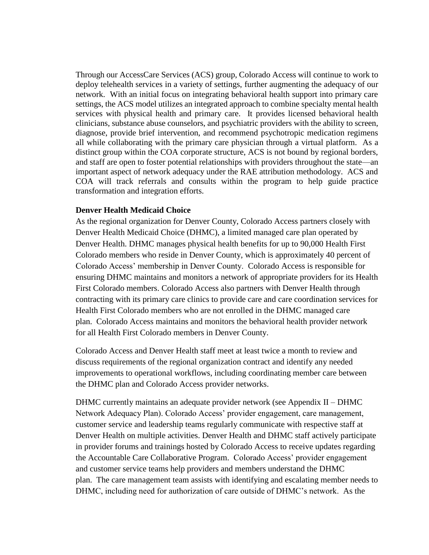Through our AccessCare Services (ACS) group, Colorado Access will continue to work to deploy telehealth services in a variety of settings, further augmenting the adequacy of our network. With an initial focus on integrating behavioral health support into primary care settings, the ACS model utilizes an integrated approach to combine specialty mental health services with physical health and primary care. It provides licensed behavioral health clinicians, substance abuse counselors, and psychiatric providers with the ability to screen, diagnose, provide brief intervention, and recommend psychotropic medication regimens all while collaborating with the primary care physician through a virtual platform. As a distinct group within the COA corporate structure, ACS is not bound by regional borders, and staff are open to foster potential relationships with providers throughout the state—an important aspect of network adequacy under the RAE attribution methodology. ACS and COA will track referrals and consults within the program to help guide practice transformation and integration efforts.

### **Denver Health Medicaid Choice**

As the regional organization for Denver County, Colorado Access partners closely with Denver Health Medicaid Choice (DHMC), a limited managed care plan operated by Denver Health. DHMC manages physical health benefits for up to 90,000 Health First Colorado members who reside in Denver County, which is approximately 40 percent of Colorado Access' membership in Denver County. Colorado Access is responsible for ensuring DHMC maintains and monitors a network of appropriate providers for its Health First Colorado members. Colorado Access also partners with Denver Health through contracting with its primary care clinics to provide care and care coordination services for Health First Colorado members who are not enrolled in the DHMC managed care plan. Colorado Access maintains and monitors the behavioral health provider network for all Health First Colorado members in Denver County.

Colorado Access and Denver Health staff meet at least twice a month to review and discuss requirements of the regional organization contract and identify any needed improvements to operational workflows, including coordinating member care between the DHMC plan and Colorado Access provider networks.

DHMC currently maintains an adequate provider network (see Appendix II – DHMC Network Adequacy Plan). Colorado Access' provider engagement, care management, customer service and leadership teams regularly communicate with respective staff at Denver Health on multiple activities. Denver Health and DHMC staff actively participate in provider forums and trainings hosted by Colorado Access to receive updates regarding the Accountable Care Collaborative Program. Colorado Access' provider engagement and customer service teams help providers and members understand the DHMC plan. The care management team assists with identifying and escalating member needs to DHMC, including need for authorization of care outside of DHMC's network. As the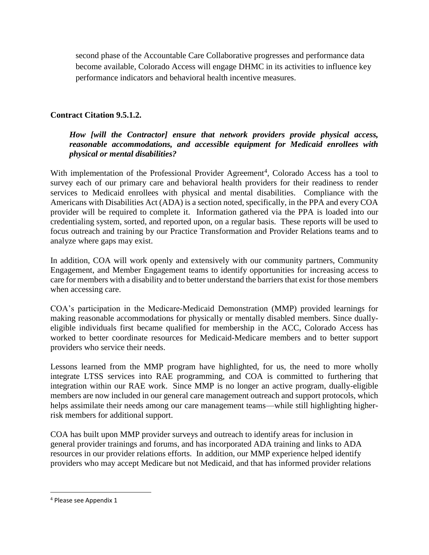second phase of the Accountable Care Collaborative progresses and performance data become available, Colorado Access will engage DHMC in its activities to influence key performance indicators and behavioral health incentive measures.

## **Contract Citation 9.5.1.2.**

## *How [will the Contractor] ensure that network providers provide physical access, reasonable accommodations, and accessible equipment for Medicaid enrollees with physical or mental disabilities?*

With implementation of the Professional Provider Agreement<sup>4</sup>, Colorado Access has a tool to survey each of our primary care and behavioral health providers for their readiness to render services to Medicaid enrollees with physical and mental disabilities. Compliance with the Americans with Disabilities Act (ADA) is a section noted, specifically, in the PPA and every COA provider will be required to complete it. Information gathered via the PPA is loaded into our credentialing system, sorted, and reported upon, on a regular basis. These reports will be used to focus outreach and training by our Practice Transformation and Provider Relations teams and to analyze where gaps may exist.

In addition, COA will work openly and extensively with our community partners, Community Engagement, and Member Engagement teams to identify opportunities for increasing access to care for members with a disability and to better understand the barriers that exist for those members when accessing care.

COA's participation in the Medicare-Medicaid Demonstration (MMP) provided learnings for making reasonable accommodations for physically or mentally disabled members. Since duallyeligible individuals first became qualified for membership in the ACC, Colorado Access has worked to better coordinate resources for Medicaid-Medicare members and to better support providers who service their needs.

Lessons learned from the MMP program have highlighted, for us, the need to more wholly integrate LTSS services into RAE programming, and COA is committed to furthering that integration within our RAE work. Since MMP is no longer an active program, dually-eligible members are now included in our general care management outreach and support protocols, which helps assimilate their needs among our care management teams—while still highlighting higherrisk members for additional support.

COA has built upon MMP provider surveys and outreach to identify areas for inclusion in general provider trainings and forums, and has incorporated ADA training and links to ADA resources in our provider relations efforts. In addition, our MMP experience helped identify providers who may accept Medicare but not Medicaid, and that has informed provider relations

 $\overline{\phantom{a}}$ 

<sup>4</sup> Please see Appendix 1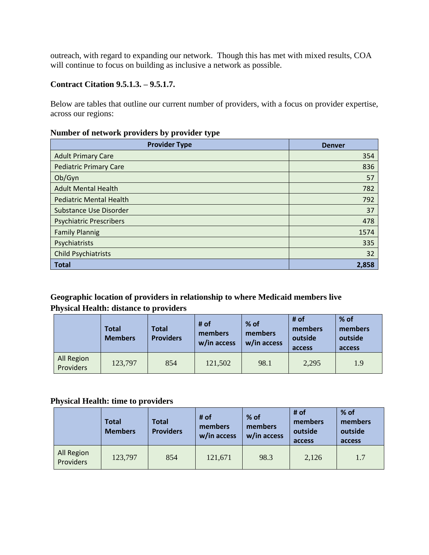outreach, with regard to expanding our network. Though this has met with mixed results, COA will continue to focus on building as inclusive a network as possible.

## **Contract Citation 9.5.1.3. – 9.5.1.7.**

Below are tables that outline our current number of providers, with a focus on provider expertise, across our regions:

## **Number of network providers by provider type**

| <b>Provider Type</b>           | <b>Denver</b> |
|--------------------------------|---------------|
| <b>Adult Primary Care</b>      | 354           |
| <b>Pediatric Primary Care</b>  | 836           |
| Ob/Gyn                         | 57            |
| <b>Adult Mental Health</b>     | 782           |
| <b>Pediatric Mental Health</b> | 792           |
| Substance Use Disorder         | 37            |
| <b>Psychiatric Prescribers</b> | 478           |
| <b>Family Plannig</b>          | 1574          |
| Psychiatrists                  | 335           |
| <b>Child Psychiatrists</b>     | 32            |
| <b>Total</b>                   | 2,858         |

## **Geographic location of providers in relationship to where Medicaid members live Physical Health: distance to providers**

|                         | Total<br><b>Members</b> | Total<br><b>Providers</b> | # of<br>members<br>w/in access | % of<br>members<br>w/in access | # of<br>members<br>outside<br>access | $%$ of<br>members<br>outside<br>access |
|-------------------------|-------------------------|---------------------------|--------------------------------|--------------------------------|--------------------------------------|----------------------------------------|
| All Region<br>Providers | 123,797                 | 854                       | 121,502                        | 98.1                           | 2,295                                | 1.9                                    |

### **Physical Health: time to providers**

|                         | <b>Total</b><br><b>Members</b> | <b>Total</b><br><b>Providers</b> | # of<br>members<br>w/in access | % of<br>members<br>w/in access | # of<br>members<br>outside<br>access | % of<br>members<br>outside<br>access |
|-------------------------|--------------------------------|----------------------------------|--------------------------------|--------------------------------|--------------------------------------|--------------------------------------|
| All Region<br>Providers | 123,797                        | 854                              | 121,671                        | 98.3                           | 2,126                                | 1.7                                  |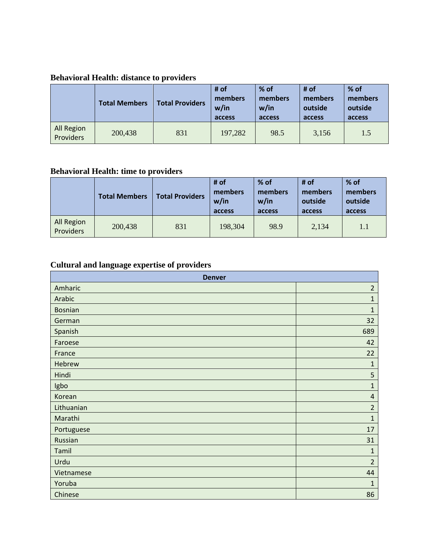# **Behavioral Health: distance to providers**

|                         | <b>Total Members</b> | <b>Total Providers</b> | # of<br>members<br>w/in<br>access | $%$ of<br>members<br>w/in<br>access | # of<br>members<br>outside<br>access | $%$ of<br>members<br>outside<br>access |
|-------------------------|----------------------|------------------------|-----------------------------------|-------------------------------------|--------------------------------------|----------------------------------------|
| All Region<br>Providers | 200,438              | 831                    | 197,282                           | 98.5                                | 3,156                                | 1.5                                    |

# **Behavioral Health: time to providers**

|                         | <b>Total Members</b> | <b>Total Providers</b> | # of<br>members<br>w/in<br>access | $%$ of<br>members<br>w/in<br>access | # of<br>members<br>outside<br>access | $%$ of<br>members<br>outside<br>access |
|-------------------------|----------------------|------------------------|-----------------------------------|-------------------------------------|--------------------------------------|----------------------------------------|
| All Region<br>Providers | 200,438              | 831                    | 198,304                           | 98.9                                | 2,134                                | 1.1                                    |

# **Cultural and language expertise of providers**

| <b>Denver</b>  |                |  |
|----------------|----------------|--|
| Amharic        | $\overline{2}$ |  |
| Arabic         | $\mathbf{1}$   |  |
| <b>Bosnian</b> | $\mathbf{1}$   |  |
| German         | 32             |  |
| Spanish        | 689            |  |
| Faroese        | 42             |  |
| France         | 22             |  |
| Hebrew         | $\mathbf{1}$   |  |
| Hindi          | 5              |  |
| Igbo           | $\overline{1}$ |  |
| Korean         | $\sqrt{4}$     |  |
| Lithuanian     | $\overline{2}$ |  |
| Marathi        | $\mathbf{1}$   |  |
| Portuguese     | 17             |  |
| Russian        | 31             |  |
| Tamil          | $\mathbf{1}$   |  |
| Urdu           | $\overline{2}$ |  |
| Vietnamese     | 44             |  |
| Yoruba         | $\mathbf{1}$   |  |
| Chinese        | 86             |  |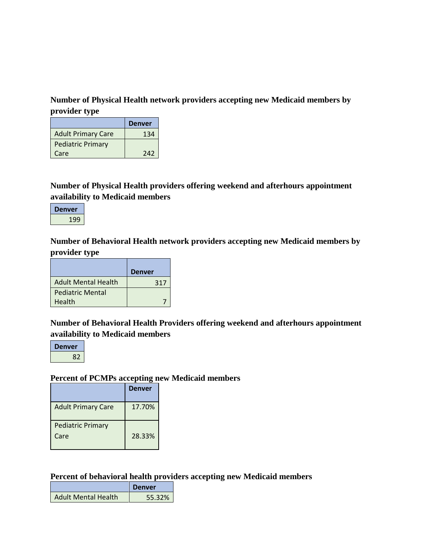## **Number of Physical Health network providers accepting new Medicaid members by provider type**

|                           | <b>Denver</b> |
|---------------------------|---------------|
| <b>Adult Primary Care</b> | 134           |
| <b>Pediatric Primary</b>  |               |
| Care                      | 242           |

**Number of Physical Health providers offering weekend and afterhours appointment availability to Medicaid members**



**Number of Behavioral Health network providers accepting new Medicaid members by provider type**

|                            | <b>Denver</b> |
|----------------------------|---------------|
| <b>Adult Mental Health</b> | 317           |
| <b>Pediatric Mental</b>    |               |
| Health                     |               |

# **Number of Behavioral Health Providers offering weekend and afterhours appointment availability to Medicaid members**



## **Percent of PCMPs accepting new Medicaid members**

|                           | <b>Denver</b> |
|---------------------------|---------------|
| <b>Adult Primary Care</b> | 17.70%        |
| <b>Pediatric Primary</b>  |               |
| Care                      | 28.33%        |

**Percent of behavioral health providers accepting new Medicaid members**

|                     | <b>Denver</b> |
|---------------------|---------------|
| Adult Mental Health | 55.32%        |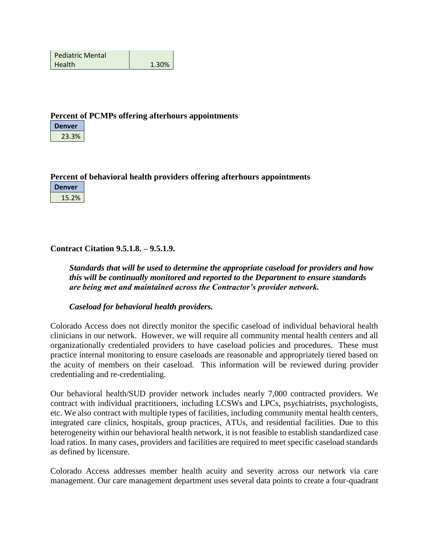| <b>Pediatric Mental</b> |       |
|-------------------------|-------|
| <b>Health</b>           | 1.30% |

### **Percent of PCMPs offering afterhours appointments**

**Denver** 23.3%

**Percent of behavioral health providers offering afterhours appointments**

**Denver** 15.2%

## **Contract Citation 9.5.1.8. – 9.5.1.9.**

*Standards that will be used to determine the appropriate caseload for providers and how this will be continually monitored and reported to the Department to ensure standards are being met and maintained across the Contractor's provider network.*

### *Caseload for behavioral health providers.*

Colorado Access does not directly monitor the specific caseload of individual behavioral health clinicians in our network. However, we will require all community mental health centers and all organizationally credentialed providers to have caseload policies and procedures. These must practice internal monitoring to ensure caseloads are reasonable and appropriately tiered based on the acuity of members on their caseload. This information will be reviewed during provider credentialing and re-credentialing.

Our behavioral health/SUD provider network includes nearly 7,000 contracted providers. We contract with individual practitioners, including LCSWs and LPCs, psychiatrists, psychologists, etc. We also contract with multiple types of facilities, including community mental health centers, integrated care clinics, hospitals, group practices, ATUs, and residential facilities. Due to this heterogeneity within our behavioral health network, it is not feasible to establish standardized case load ratios. In many cases, providers and facilities are required to meet specific caseload standards as defined by licensure.

Colorado Access addresses member health acuity and severity across our network via care management. Our care management department uses several data points to create a four-quadrant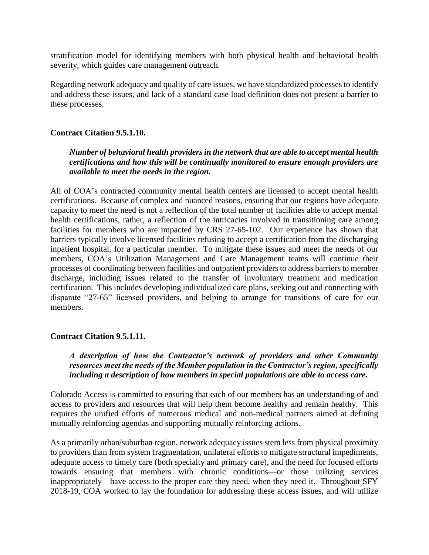stratification model for identifying members with both physical health and behavioral health severity, which guides care management outreach.

Regarding network adequacy and quality of care issues, we have standardized processes to identify and address these issues, and lack of a standard case load definition does not present a barrier to these processes.

### **Contract Citation 9.5.1.10.**

### *Number of behavioral health providers in the network that are able to accept mental health certifications and how this will be continually monitored to ensure enough providers are available to meet the needs in the region.*

All of COA's contracted community mental health centers are licensed to accept mental health certifications. Because of complex and nuanced reasons, ensuring that our regions have adequate capacity to meet the need is not a reflection of the total number of facilities able to accept mental health certifications, rather, a reflection of the intricacies involved in transitioning care among facilities for members who are impacted by CRS 27-65-102. Our experience has shown that barriers typically involve licensed facilities refusing to accept a certification from the discharging inpatient hospital, for a particular member. To mitigate these issues and meet the needs of our members, COA's Utilization Management and Care Management teams will continue their processes of coordinating between facilities and outpatient providers to address barriers to member discharge, including issues related to the transfer of involuntary treatment and medication certification. This includes developing individualized care plans, seeking out and connecting with disparate "27-65" licensed providers, and helping to arrange for transitions of care for our members.

### **Contract Citation 9.5.1.11.**

*A description of how the Contractor's network of providers and other Community resources meet the needs of the Member population in the Contractor's region, specifically including a description of how members in special populations are able to access care.*

Colorado Access is committed to ensuring that each of our members has an understanding of and access to providers and resources that will help them become healthy and remain healthy. This requires the unified efforts of numerous medical and non-medical partners aimed at defining mutually reinforcing agendas and supporting mutually reinforcing actions.

As a primarily urban/suburban region, network adequacy issues stem less from physical proximity to providers than from system fragmentation, unilateral efforts to mitigate structural impediments, adequate access to timely care (both specialty and primary care), and the need for focused efforts towards ensuring that members with chronic conditions—or those utilizing services inappropriately—have access to the proper care they need, when they need it. Throughout SFY 2018-19, COA worked to lay the foundation for addressing these access issues, and will utilize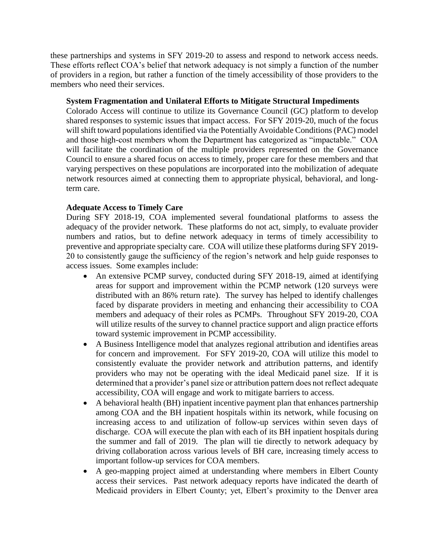these partnerships and systems in SFY 2019-20 to assess and respond to network access needs. These efforts reflect COA's belief that network adequacy is not simply a function of the number of providers in a region, but rather a function of the timely accessibility of those providers to the members who need their services.

### **System Fragmentation and Unilateral Efforts to Mitigate Structural Impediments**

Colorado Access will continue to utilize its Governance Council (GC) platform to develop shared responses to systemic issues that impact access. For SFY 2019-20, much of the focus will shift toward populations identified via the Potentially Avoidable Conditions (PAC) model and those high-cost members whom the Department has categorized as "impactable." COA will facilitate the coordination of the multiple providers represented on the Governance Council to ensure a shared focus on access to timely, proper care for these members and that varying perspectives on these populations are incorporated into the mobilization of adequate network resources aimed at connecting them to appropriate physical, behavioral, and longterm care.

### **Adequate Access to Timely Care**

During SFY 2018-19, COA implemented several foundational platforms to assess the adequacy of the provider network. These platforms do not act, simply, to evaluate provider numbers and ratios, but to define network adequacy in terms of timely accessibility to preventive and appropriate specialty care. COA will utilize these platforms during SFY 2019- 20 to consistently gauge the sufficiency of the region's network and help guide responses to access issues. Some examples include:

- An extensive PCMP survey, conducted during SFY 2018-19, aimed at identifying areas for support and improvement within the PCMP network (120 surveys were distributed with an 86% return rate). The survey has helped to identify challenges faced by disparate providers in meeting and enhancing their accessibility to COA members and adequacy of their roles as PCMPs. Throughout SFY 2019-20, COA will utilize results of the survey to channel practice support and align practice efforts toward systemic improvement in PCMP accessibility.
- A Business Intelligence model that analyzes regional attribution and identifies areas for concern and improvement. For SFY 2019-20, COA will utilize this model to consistently evaluate the provider network and attribution patterns, and identify providers who may not be operating with the ideal Medicaid panel size. If it is determined that a provider's panel size or attribution pattern does not reflect adequate accessibility, COA will engage and work to mitigate barriers to access.
- A behavioral health (BH) inpatient incentive payment plan that enhances partnership among COA and the BH inpatient hospitals within its network, while focusing on increasing access to and utilization of follow-up services within seven days of discharge. COA will execute the plan with each of its BH inpatient hospitals during the summer and fall of 2019. The plan will tie directly to network adequacy by driving collaboration across various levels of BH care, increasing timely access to important follow-up services for COA members.
- A geo-mapping project aimed at understanding where members in Elbert County access their services. Past network adequacy reports have indicated the dearth of Medicaid providers in Elbert County; yet, Elbert's proximity to the Denver area